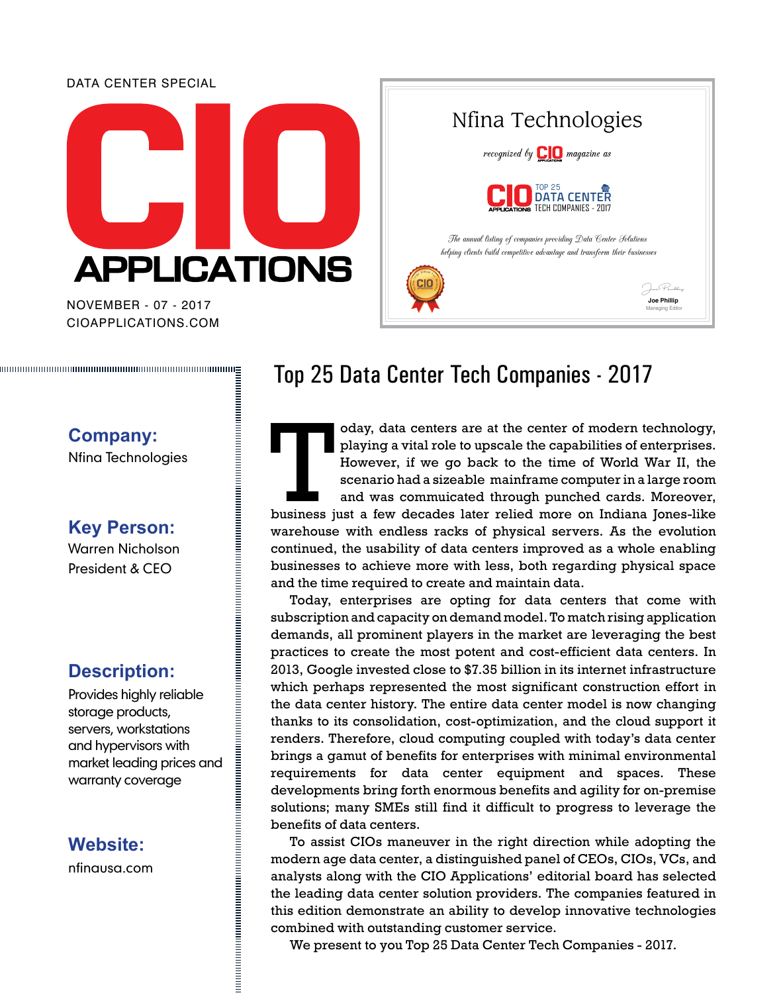#### DATA CENTER SPECIAL



CIOAPPLICATIONS.COM NOVEMBER - 07 - 2017



## **Company:**

Nfina Technologies

**Key Person:** Warren Nicholson

President & CEO

#### **Description:**

Provides highly reliable storage products, servers, workstations and hypervisors with market leading prices and warranty coverage

#### **Website:**

nfinausa.com

### Top 25 Data Center Tech Companies - 2017

oday, data centers are at the center of modern technology, playing a vital role to upscale the capabilities of enterprises.<br>However, if we go back to the time of World War II, the scenario had a sizeable mainframe computer playing a vital role to upscale the capabilities of enterprises. However, if we go back to the time of World War II, the scenario had a sizeable mainframe computer in a large room

and was commuicated through punched cards. Moreover, warehouse with endless racks of physical servers. As the evolution continued, the usability of data centers improved as a whole enabling businesses to achieve more with less, both regarding physical space and the time required to create and maintain data.

Today, enterprises are opting for data centers that come with subscription and capacity on demand model. To match rising application demands, all prominent players in the market are leveraging the best practices to create the most potent and cost-efficient data centers. In 2013, Google invested close to \$7.35 billion in its internet infrastructure which perhaps represented the most significant construction effort in the data center history. The entire data center model is now changing thanks to its consolidation, cost-optimization, and the cloud support it renders. Therefore, cloud computing coupled with today's data center brings a gamut of benefits for enterprises with minimal environmental requirements for data center equipment and spaces. These developments bring forth enormous benefits and agility for on-premise solutions; many SMEs still find it difficult to progress to leverage the benefits of data centers.

To assist CIOs maneuver in the right direction while adopting the modern age data center, a distinguished panel of CEOs, CIOs, VCs, and analysts along with the CIO Applications' editorial board has selected the leading data center solution providers. The companies featured in this edition demonstrate an ability to develop innovative technologies combined with outstanding customer service.

We present to you Top 25 Data Center Tech Companies - 2017.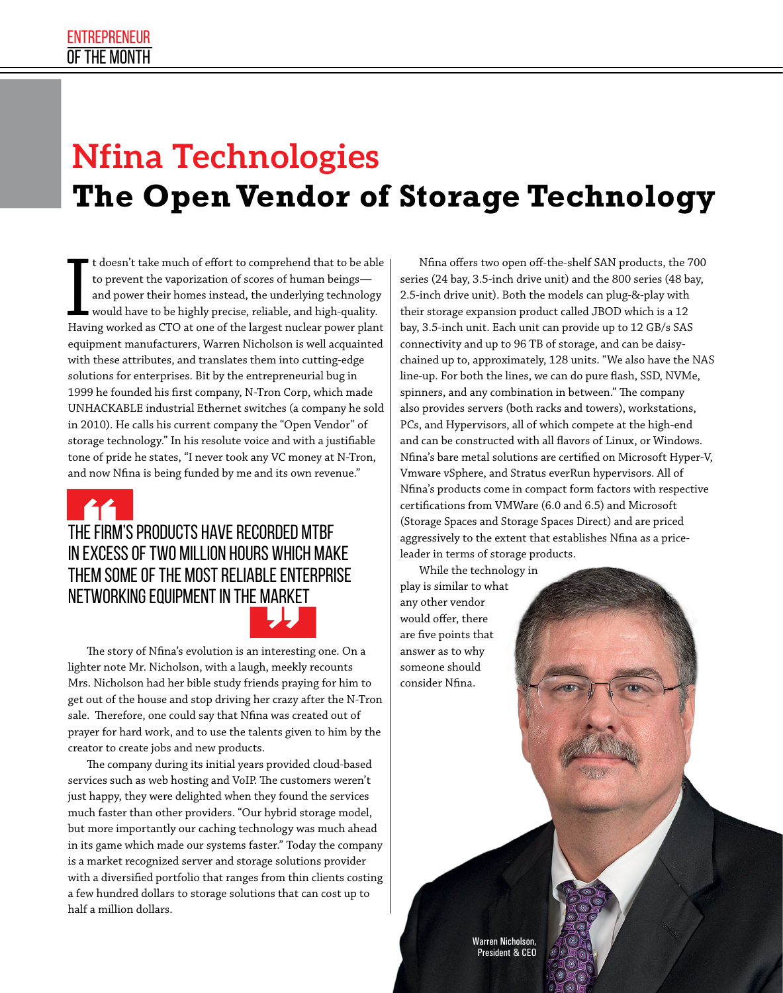# **Nfina Technologies The Open Vendor of Storage Technology**

t doesn't take much of effort to comprehend that to be able to prevent the vaporization of scores of human beings and power their homes instead, the underlying technology would have to be highly precise, reliable, and high-quality. Having worked as CTO at one of the largest nuclear power plant equipment manufacturers, Warren Nicholson is well acquainted with these attributes, and translates them into cutting-edge solutions for enterprises. Bit by the entrepreneurial bug in 1999 he founded his first company, N-Tron Corp, which made UNHACKABLE industrial Ethernet switches (a company he sold in 2010). He calls his current company the "Open Vendor" of storage technology." In his resolute voice and with a justifiable tone of pride he states, "I never took any VC money at N-Tron, and now Nfina is being funded by me and its own revenue."

#### The firm's products have recorded MTBF in excess of two million hours which make them some of the most reliable enterprise networking equipment in the market

The story of Nfina's evolution is an interesting one. On a lighter note Mr. Nicholson, with a laugh, meekly recounts Mrs. Nicholson had her bible study friends praying for him to get out of the house and stop driving her crazy after the N-Tron sale. Therefore, one could say that Nfina was created out of prayer for hard work, and to use the talents given to him by the creator to create jobs and new products.

The company during its initial years provided cloud-based services such as web hosting and VoIP. The customers weren't just happy, they were delighted when they found the services much faster than other providers. "Our hybrid storage model, but more importantly our caching technology was much ahead in its game which made our systems faster." Today the company is a market recognized server and storage solutions provider with a diversified portfolio that ranges from thin clients costing a few hundred dollars to storage solutions that can cost up to half a million dollars.

Nfina offers two open off-the-shelf SAN products, the 700 series (24 bay, 3.5-inch drive unit) and the 800 series (48 bay, 2.5-inch drive unit). Both the models can plug-&-play with their storage expansion product called JBOD which is a 12 bay, 3.5-inch unit. Each unit can provide up to 12 GB/s SAS connectivity and up to 96 TB of storage, and can be daisychained up to, approximately, 128 units. "We also have the NAS line-up. For both the lines, we can do pure flash, SSD, NVMe, spinners, and any combination in between." The company also provides servers (both racks and towers), workstations, PCs, and Hypervisors, all of which compete at the high-end and can be constructed with all flavors of Linux, or Windows. Nfina's bare metal solutions are certified on Microsoft Hyper-V, Vmware vSphere, and Stratus everRun hypervisors. All of Nfina's products come in compact form factors with respective certifications from VMWare (6.0 and 6.5) and Microsoft (Storage Spaces and Storage Spaces Direct) and are priced aggressively to the extent that establishes Nfina as a priceleader in terms of storage products.

While the technology in play is similar to what any other vendor would offer, there are five points that answer as to why someone should consider Nfina.

> Warren Nicholson, President & CEO